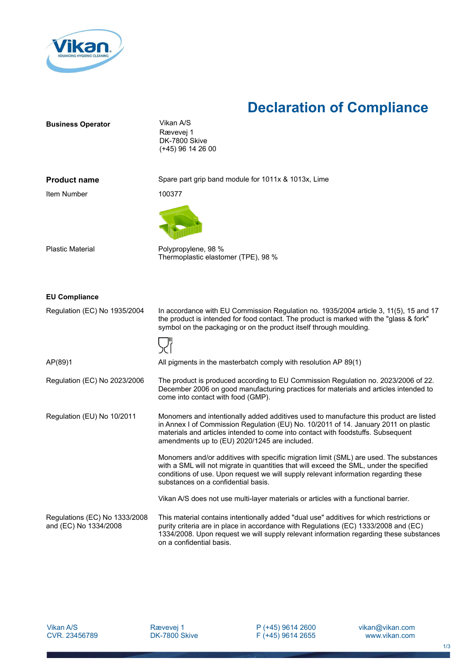

## **Declaration of Compliance**

| <b>Business Operator</b>                               | Vikan A/S<br>Rævevej 1<br>DK-7800 Skive<br>(+45) 96 14 26 00                                                                                                                                                                                                                                                       |
|--------------------------------------------------------|--------------------------------------------------------------------------------------------------------------------------------------------------------------------------------------------------------------------------------------------------------------------------------------------------------------------|
| <b>Product name</b>                                    | Spare part grip band module for 1011x & 1013x, Lime                                                                                                                                                                                                                                                                |
| Item Number                                            | 100377                                                                                                                                                                                                                                                                                                             |
|                                                        |                                                                                                                                                                                                                                                                                                                    |
| <b>Plastic Material</b>                                | Polypropylene, 98 %<br>Thermoplastic elastomer (TPE), 98 %                                                                                                                                                                                                                                                         |
| <b>EU Compliance</b>                                   |                                                                                                                                                                                                                                                                                                                    |
| Regulation (EC) No 1935/2004                           | In accordance with EU Commission Regulation no. 1935/2004 article 3, 11(5), 15 and 17<br>the product is intended for food contact. The product is marked with the "glass & fork"<br>symbol on the packaging or on the product itself through moulding.                                                             |
|                                                        |                                                                                                                                                                                                                                                                                                                    |
| AP(89)1                                                | All pigments in the masterbatch comply with resolution AP 89(1)                                                                                                                                                                                                                                                    |
| Regulation (EC) No 2023/2006                           | The product is produced according to EU Commission Regulation no. 2023/2006 of 22.<br>December 2006 on good manufacturing practices for materials and articles intended to<br>come into contact with food (GMP).                                                                                                   |
| Regulation (EU) No 10/2011                             | Monomers and intentionally added additives used to manufacture this product are listed<br>in Annex I of Commission Regulation (EU) No. 10/2011 of 14. January 2011 on plastic<br>materials and articles intended to come into contact with foodstuffs. Subsequent<br>amendments up to (EU) 2020/1245 are included. |
|                                                        | Monomers and/or additives with specific migration limit (SML) are used. The substances<br>with a SML will not migrate in quantities that will exceed the SML, under the specified<br>conditions of use. Upon request we will supply relevant information regarding these<br>substances on a confidential basis.    |
|                                                        | Vikan A/S does not use multi-layer materials or articles with a functional barrier.                                                                                                                                                                                                                                |
| Regulations (EC) No 1333/2008<br>and (EC) No 1334/2008 | This material contains intentionally added "dual use" additives for which restrictions or<br>purity criteria are in place in accordance with Regulations (EC) 1333/2008 and (EC)<br>1334/2008. Upon request we will supply relevant information regarding these substances<br>on a confidential basis.             |

P (+45) 9614 2600 F (+45) 9614 2655 vikan@vikan.com www.vikan.com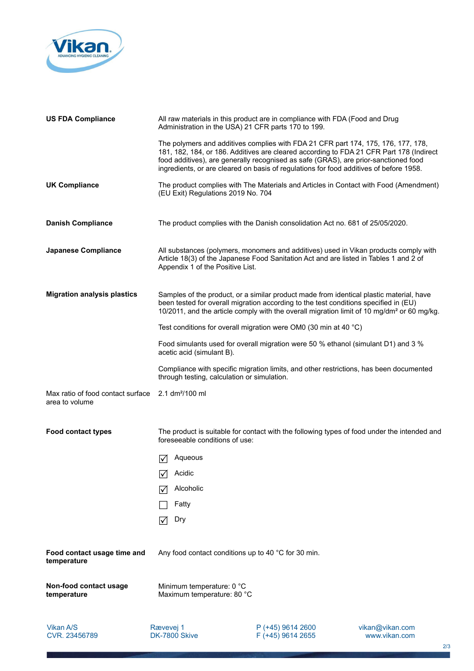

| <b>US FDA Compliance</b>                            | Administration in the USA) 21 CFR parts 170 to 199.     | All raw materials in this product are in compliance with FDA (Food and Drug                                                                                                                                                                                                                                                                                   |                 |
|-----------------------------------------------------|---------------------------------------------------------|---------------------------------------------------------------------------------------------------------------------------------------------------------------------------------------------------------------------------------------------------------------------------------------------------------------------------------------------------------------|-----------------|
|                                                     |                                                         | The polymers and additives complies with FDA 21 CFR part 174, 175, 176, 177, 178,<br>181, 182, 184, or 186. Additives are cleared according to FDA 21 CFR Part 178 (Indirect<br>food additives), are generally recognised as safe (GRAS), are prior-sanctioned food<br>ingredients, or are cleared on basis of regulations for food additives of before 1958. |                 |
| <b>UK Compliance</b>                                | (EU Exit) Regulations 2019 No. 704                      | The product complies with The Materials and Articles in Contact with Food (Amendment)                                                                                                                                                                                                                                                                         |                 |
| <b>Danish Compliance</b>                            |                                                         | The product complies with the Danish consolidation Act no. 681 of 25/05/2020.                                                                                                                                                                                                                                                                                 |                 |
| <b>Japanese Compliance</b>                          | Appendix 1 of the Positive List.                        | All substances (polymers, monomers and additives) used in Vikan products comply with<br>Article 18(3) of the Japanese Food Sanitation Act and are listed in Tables 1 and 2 of                                                                                                                                                                                 |                 |
| <b>Migration analysis plastics</b>                  |                                                         | Samples of the product, or a similar product made from identical plastic material, have<br>been tested for overall migration according to the test conditions specified in (EU)<br>10/2011, and the article comply with the overall migration limit of 10 mg/dm <sup>2</sup> or 60 mg/kg.                                                                     |                 |
|                                                     |                                                         | Test conditions for overall migration were OM0 (30 min at 40 °C)                                                                                                                                                                                                                                                                                              |                 |
|                                                     | acetic acid (simulant B).                               | Food simulants used for overall migration were 50 % ethanol (simulant D1) and 3 %                                                                                                                                                                                                                                                                             |                 |
|                                                     | through testing, calculation or simulation.             | Compliance with specific migration limits, and other restrictions, has been documented                                                                                                                                                                                                                                                                        |                 |
| Max ratio of food contact surface<br>area to volume | 2.1 dm <sup>2</sup> /100 ml                             |                                                                                                                                                                                                                                                                                                                                                               |                 |
| <b>Food contact types</b>                           | foreseeable conditions of use:                          | The product is suitable for contact with the following types of food under the intended and                                                                                                                                                                                                                                                                   |                 |
|                                                     | Aqueous<br>M                                            |                                                                                                                                                                                                                                                                                                                                                               |                 |
|                                                     | Acidic                                                  |                                                                                                                                                                                                                                                                                                                                                               |                 |
|                                                     | Alcoholic<br>I√                                         |                                                                                                                                                                                                                                                                                                                                                               |                 |
|                                                     | Fatty                                                   |                                                                                                                                                                                                                                                                                                                                                               |                 |
|                                                     | Dry<br>I√l                                              |                                                                                                                                                                                                                                                                                                                                                               |                 |
| Food contact usage time and<br>temperature          | Any food contact conditions up to 40 °C for 30 min.     |                                                                                                                                                                                                                                                                                                                                                               |                 |
| Non-food contact usage<br>temperature               | Minimum temperature: 0 °C<br>Maximum temperature: 80 °C |                                                                                                                                                                                                                                                                                                                                                               |                 |
| Vikan A/S                                           | Rævevej 1                                               | P (+45) 9614 2600                                                                                                                                                                                                                                                                                                                                             | vikan@vikan.com |

<u>and provide the company</u>

DK-7800 Skive

F (+45) 9614 2655

www.vikan.com